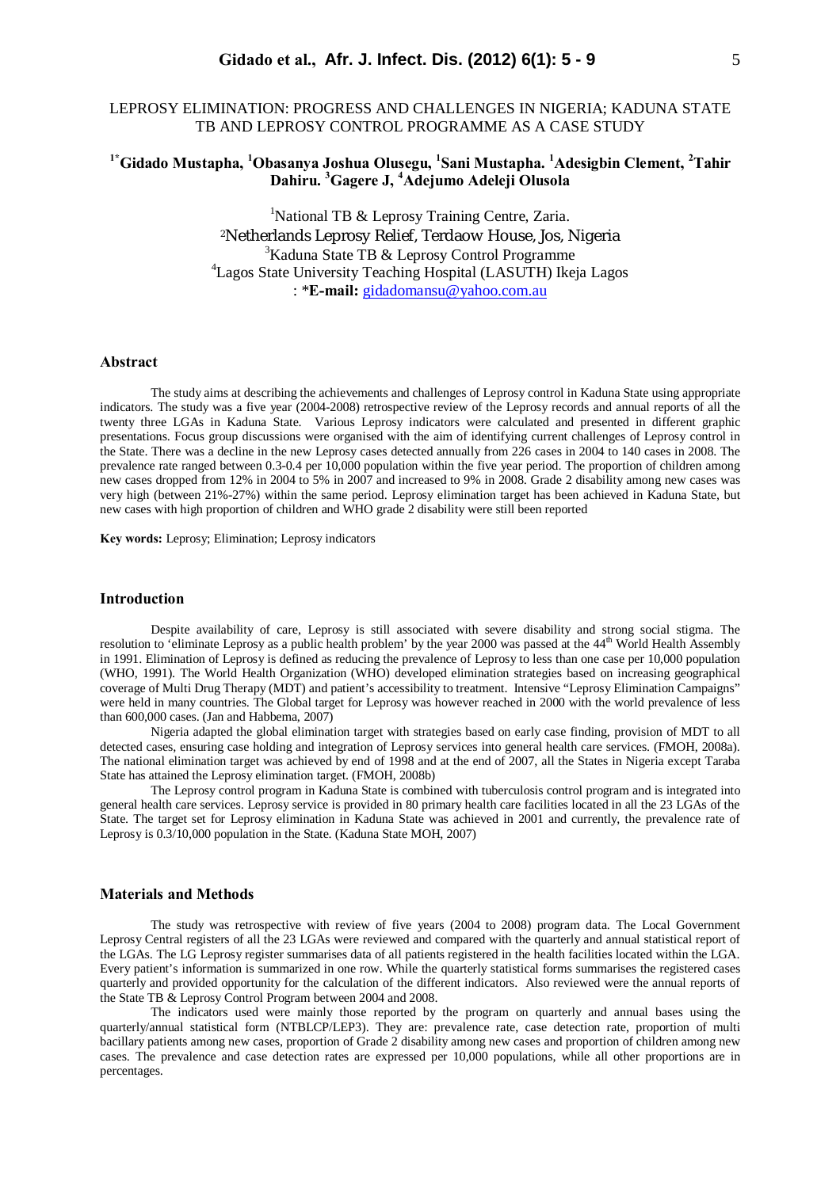## LEPROSY ELIMINATION: PROGRESS AND CHALLENGES IN NIGERIA; KADUNA STATE TB AND LEPROSY CONTROL PROGRAMME AS A CASE STUDY

# **1\*Gidado Mustapha, <sup>1</sup>Obasanya Joshua Olusegu, <sup>1</sup> Sani Mustapha. <sup>1</sup>Adesigbin Clement, <sup>2</sup>Tahir Dahiru. <sup>3</sup>Gagere J, <sup>4</sup>Adejumo Adeleji Olusola**

<sup>1</sup>National TB & Leprosy Training Centre, Zaria. <sup>2</sup>Netherlands Leprosy Relief, Terdaow House, Jos, Nigeria <sup>3</sup>Kaduna State TB & Leprosy Control Programme <sup>4</sup>Lagos State University Teaching Hospital (LASUTH) Ikeja Lagos : \***E-mail:** gidadomansu@yahoo.com.au

### **Abstract**

The study aims at describing the achievements and challenges of Leprosy control in Kaduna State using appropriate indicators. The study was a five year (2004-2008) retrospective review of the Leprosy records and annual reports of all the twenty three LGAs in Kaduna State. Various Leprosy indicators were calculated and presented in different graphic presentations. Focus group discussions were organised with the aim of identifying current challenges of Leprosy control in the State. There was a decline in the new Leprosy cases detected annually from 226 cases in 2004 to 140 cases in 2008. The prevalence rate ranged between 0.3-0.4 per 10,000 population within the five year period. The proportion of children among new cases dropped from 12% in 2004 to 5% in 2007 and increased to 9% in 2008. Grade 2 disability among new cases was very high (between 21%-27%) within the same period. Leprosy elimination target has been achieved in Kaduna State, but new cases with high proportion of children and WHO grade 2 disability were still been reported

**Key words:** Leprosy; Elimination; Leprosy indicators

## **Introduction**

Despite availability of care, Leprosy is still associated with severe disability and strong social stigma. The resolution to 'eliminate Leprosy as a public health problem' by the year 2000 was passed at the  $44<sup>th</sup>$  World Health Assembly in 1991. Elimination of Leprosy is defined as reducing the prevalence of Leprosy to less than one case per 10,000 population (WHO, 1991). The World Health Organization (WHO) developed elimination strategies based on increasing geographical coverage of Multi Drug Therapy (MDT) and patient's accessibility to treatment. Intensive "Leprosy Elimination Campaigns" were held in many countries. The Global target for Leprosy was however reached in 2000 with the world prevalence of less than 600,000 cases. (Jan and Habbema, 2007)

 Nigeria adapted the global elimination target with strategies based on early case finding, provision of MDT to all detected cases, ensuring case holding and integration of Leprosy services into general health care services. (FMOH, 2008a). The national elimination target was achieved by end of 1998 and at the end of 2007, all the States in Nigeria except Taraba State has attained the Leprosy elimination target. (FMOH, 2008b)

The Leprosy control program in Kaduna State is combined with tuberculosis control program and is integrated into general health care services. Leprosy service is provided in 80 primary health care facilities located in all the 23 LGAs of the State. The target set for Leprosy elimination in Kaduna State was achieved in 2001 and currently, the prevalence rate of Leprosy is 0.3/10,000 population in the State. (Kaduna State MOH, 2007)

#### **Materials and Methods**

The study was retrospective with review of five years (2004 to 2008) program data. The Local Government Leprosy Central registers of all the 23 LGAs were reviewed and compared with the quarterly and annual statistical report of the LGAs. The LG Leprosy register summarises data of all patients registered in the health facilities located within the LGA. Every patient's information is summarized in one row. While the quarterly statistical forms summarises the registered cases quarterly and provided opportunity for the calculation of the different indicators. Also reviewed were the annual reports of the State TB & Leprosy Control Program between 2004 and 2008.

The indicators used were mainly those reported by the program on quarterly and annual bases using the quarterly/annual statistical form (NTBLCP/LEP3). They are: prevalence rate, case detection rate, proportion of multi bacillary patients among new cases, proportion of Grade 2 disability among new cases and proportion of children among new cases. The prevalence and case detection rates are expressed per 10,000 populations, while all other proportions are in percentages.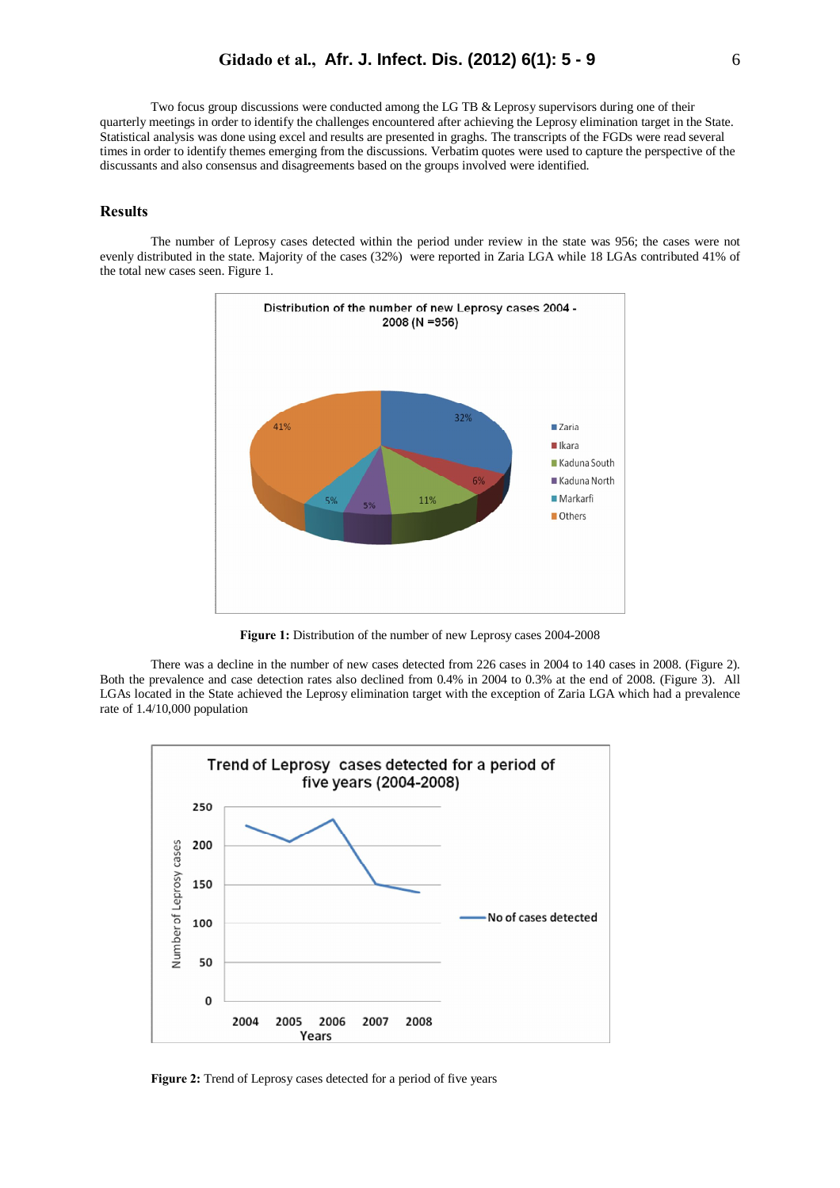Two focus group discussions were conducted among the LG TB & Leprosy supervisors during one of their quarterly meetings in order to identify the challenges encountered after achieving the Leprosy elimination target in the State. Statistical analysis was done using excel and results are presented in graghs. The transcripts of the FGDs were read several times in order to identify themes emerging from the discussions. Verbatim quotes were used to capture the perspective of the discussants and also consensus and disagreements based on the groups involved were identified.

#### **Results**

The number of Leprosy cases detected within the period under review in the state was 956; the cases were not evenly distributed in the state. Majority of the cases (32%) were reported in Zaria LGA while 18 LGAs contributed 41% of the total new cases seen. Figure 1.



**Figure 1:** Distribution of the number of new Leprosy cases 2004-2008

There was a decline in the number of new cases detected from 226 cases in 2004 to 140 cases in 2008. (Figure 2). Both the prevalence and case detection rates also declined from 0.4% in 2004 to 0.3% at the end of 2008. (Figure 3). All LGAs located in the State achieved the Leprosy elimination target with the exception of Zaria LGA which had a prevalence rate of 1.4/10,000 population



**Figure 2:** Trend of Leprosy cases detected for a period of five years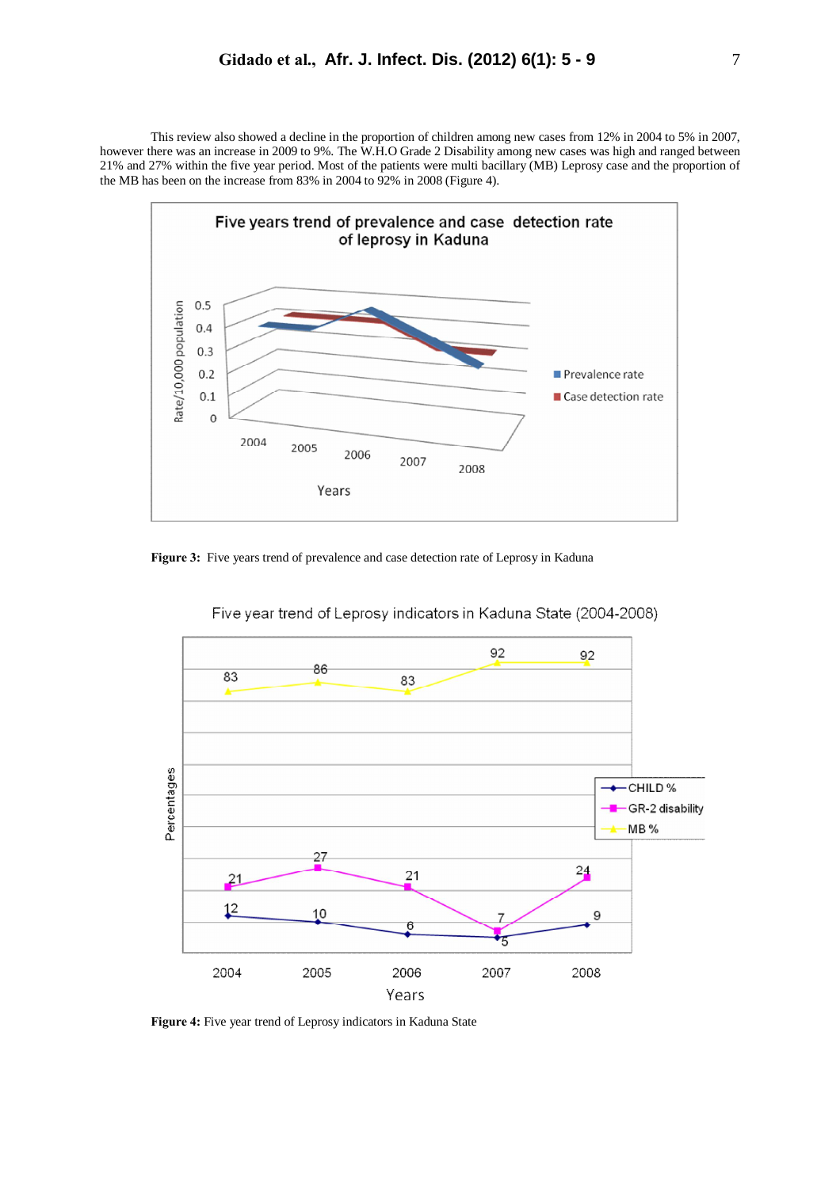This review also showed a decline in the proportion of children among new cases from 12% in 2004 to 5% in 2007, however there was an increase in 2009 to 9%. The W.H.O Grade 2 Disability among new cases was high and ranged between 21% and 27% within the five year period. Most of the patients were multi bacillary (MB) Leprosy case and the proportion of the MB has been on the increase from 83% in 2004 to 92% in 2008 (Figure 4).



Figure 3: Five years trend of prevalence and case detection rate of Leprosy in Kaduna



Five year trend of Leprosy indicators in Kaduna State (2004-2008)

**Figure 4:** Five year trend of Leprosy indicators in Kaduna State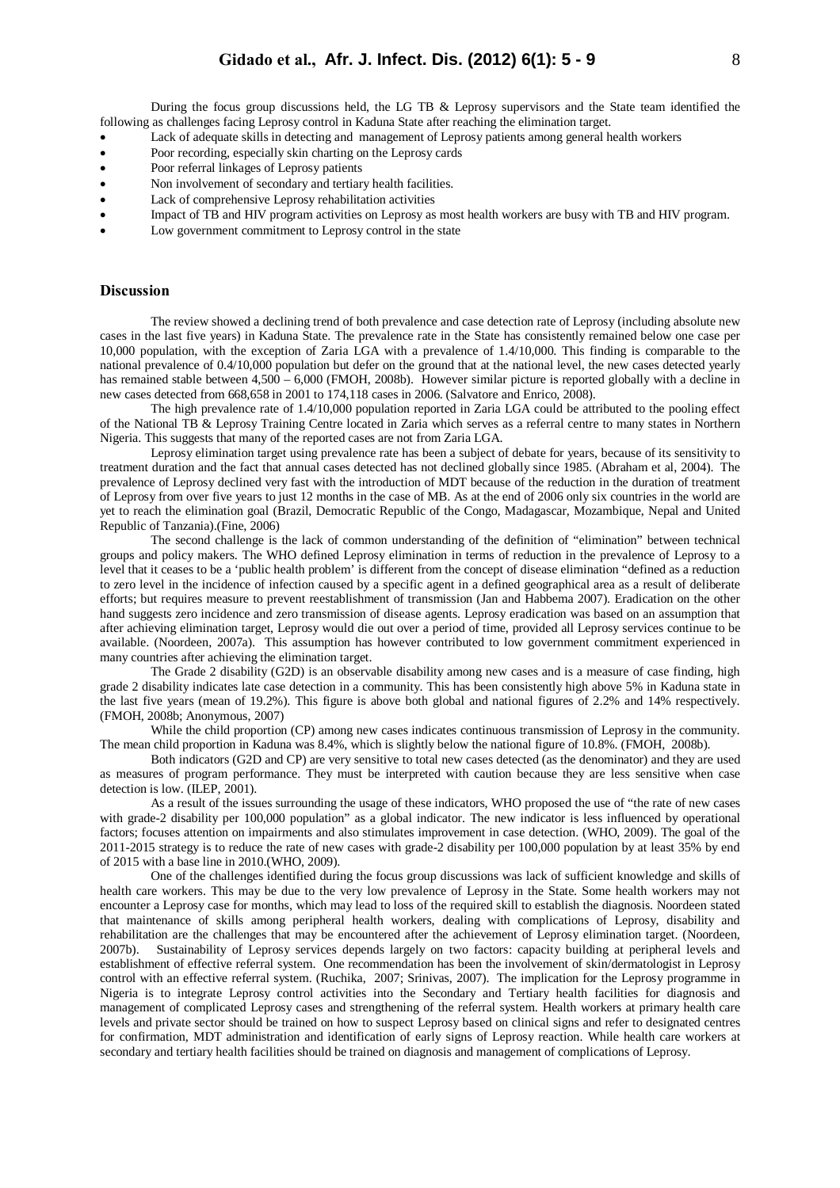During the focus group discussions held, the LG TB & Leprosy supervisors and the State team identified the following as challenges facing Leprosy control in Kaduna State after reaching the elimination target.

- Lack of adequate skills in detecting and management of Leprosy patients among general health workers
- Poor recording, especially skin charting on the Leprosy cards
- Poor referral linkages of Leprosy patients
- Non involvement of secondary and tertiary health facilities.
- Lack of comprehensive Leprosy rehabilitation activities
- Impact of TB and HIV program activities on Leprosy as most health workers are busy with TB and HIV program.
- Low government commitment to Leprosy control in the state

#### **Discussion**

The review showed a declining trend of both prevalence and case detection rate of Leprosy (including absolute new cases in the last five years) in Kaduna State. The prevalence rate in the State has consistently remained below one case per 10,000 population, with the exception of Zaria LGA with a prevalence of 1.4/10,000. This finding is comparable to the national prevalence of 0.4/10,000 population but defer on the ground that at the national level, the new cases detected yearly has remained stable between 4,500 – 6,000 (FMOH, 2008b). However similar picture is reported globally with a decline in new cases detected from 668,658 in 2001 to 174,118 cases in 2006. (Salvatore and Enrico, 2008).

The high prevalence rate of 1.4/10,000 population reported in Zaria LGA could be attributed to the pooling effect of the National TB & Leprosy Training Centre located in Zaria which serves as a referral centre to many states in Northern Nigeria. This suggests that many of the reported cases are not from Zaria LGA.

Leprosy elimination target using prevalence rate has been a subject of debate for years, because of its sensitivity to treatment duration and the fact that annual cases detected has not declined globally since 1985. (Abraham et al, 2004). The prevalence of Leprosy declined very fast with the introduction of MDT because of the reduction in the duration of treatment of Leprosy from over five years to just 12 months in the case of MB. As at the end of 2006 only six countries in the world are yet to reach the elimination goal (Brazil, Democratic Republic of the Congo, Madagascar, Mozambique, Nepal and United Republic of Tanzania).(Fine, 2006)

The second challenge is the lack of common understanding of the definition of "elimination" between technical groups and policy makers. The WHO defined Leprosy elimination in terms of reduction in the prevalence of Leprosy to a level that it ceases to be a 'public health problem' is different from the concept of disease elimination "defined as a reduction to zero level in the incidence of infection caused by a specific agent in a defined geographical area as a result of deliberate efforts; but requires measure to prevent reestablishment of transmission (Jan and Habbema 2007). Eradication on the other hand suggests zero incidence and zero transmission of disease agents. Leprosy eradication was based on an assumption that after achieving elimination target, Leprosy would die out over a period of time, provided all Leprosy services continue to be available. (Noordeen, 2007a). This assumption has however contributed to low government commitment experienced in many countries after achieving the elimination target.

The Grade 2 disability (G2D) is an observable disability among new cases and is a measure of case finding, high grade 2 disability indicates late case detection in a community. This has been consistently high above 5% in Kaduna state in the last five years (mean of 19.2%). This figure is above both global and national figures of 2.2% and 14% respectively. (FMOH, 2008b; Anonymous, 2007)

While the child proportion (CP) among new cases indicates continuous transmission of Leprosy in the community. The mean child proportion in Kaduna was 8.4%, which is slightly below the national figure of 10.8%. (FMOH, 2008b).

Both indicators (G2D and CP) are very sensitive to total new cases detected (as the denominator) and they are used as measures of program performance. They must be interpreted with caution because they are less sensitive when case detection is low. (ILEP, 2001).

As a result of the issues surrounding the usage of these indicators, WHO proposed the use of "the rate of new cases with grade-2 disability per 100,000 population" as a global indicator. The new indicator is less influenced by operational factors; focuses attention on impairments and also stimulates improvement in case detection. (WHO, 2009). The goal of the 2011-2015 strategy is to reduce the rate of new cases with grade-2 disability per 100,000 population by at least 35% by end of 2015 with a base line in 2010.(WHO, 2009).

One of the challenges identified during the focus group discussions was lack of sufficient knowledge and skills of health care workers. This may be due to the very low prevalence of Leprosy in the State. Some health workers may not encounter a Leprosy case for months, which may lead to loss of the required skill to establish the diagnosis. Noordeen stated that maintenance of skills among peripheral health workers, dealing with complications of Leprosy, disability and rehabilitation are the challenges that may be encountered after the achievement of Leprosy elimination target. (Noordeen, 2007b). Sustainability of Leprosy services depends largely on two factors: capacity building at peripheral levels and establishment of effective referral system. One recommendation has been the involvement of skin/dermatologist in Leprosy control with an effective referral system. (Ruchika, 2007; Srinivas, 2007). The implication for the Leprosy programme in Nigeria is to integrate Leprosy control activities into the Secondary and Tertiary health facilities for diagnosis and management of complicated Leprosy cases and strengthening of the referral system. Health workers at primary health care levels and private sector should be trained on how to suspect Leprosy based on clinical signs and refer to designated centres for confirmation, MDT administration and identification of early signs of Leprosy reaction. While health care workers at secondary and tertiary health facilities should be trained on diagnosis and management of complications of Leprosy.